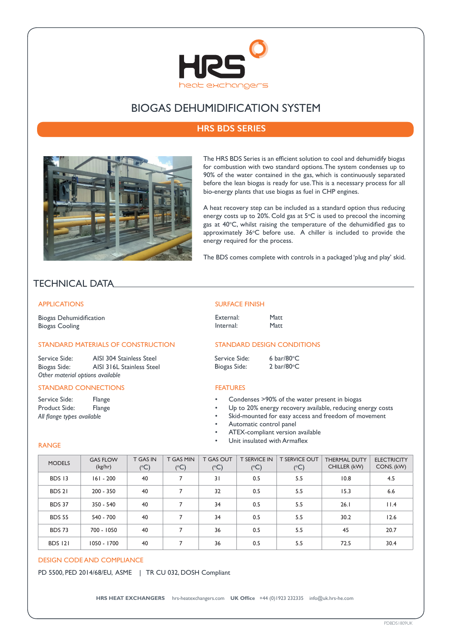

# BIOGAS DEHUMIDIFICATION SYSTEM

# **HRS BDS SERIES**



The HRS BDS Series is an efficient solution to cool and dehumidify biogas for combustion with two standard options. The system condenses up to 90% of the water contained in the gas, which is continuously separated before the lean biogas is ready for use. This is a necessary process for all bio-energy plants that use biogas as fuel in CHP engines.

A heat recovery step can be included as a standard option thus reducing energy costs up to 20%. Cold gas at  $5^{\circ}$ C is used to precool the incoming gas at 40°C, whilst raising the temperature of the dehumidified gas to approximately 36°C before use. A chiller is included to provide the energy required for the process.

The BDS comes complete with controls in a packaged 'plug and play' skid.

# TECHNICAL DATA

### APPLICATIONS

Biogas Dehumidification Biogas Cooling

## STANDARD MATERIALS OF CONSTRUCTION

Service Side: AISI 304 Stainless Steel Biogas Side: AISI 316L Stainless Steel *Other material options available*

#### STANDARD CONNECTIONS

Service Side: Flange Product Side: Flange *All flange types available*

RANGE

#### SURFACE FINISH

External: Matt Internal: Matt

## STANDARD DESIGN CONDITIONS

| Service Side: | 6 bar/80 $\degree$ C |
|---------------|----------------------|
| Biogas Side:  | 2 bar/80 $\degree$ C |

#### **FEATURES**

- Condenses >90% of the water present in biogas
- Up to 20% energy recovery available, reducing energy costs
- Skid-mounted for easy access and freedom of movement
	- Automatic control panel
- ATEX-compliant version available
- Unit insulated with Armaflex

| <b>MODELS</b>  | <b>GAS FLOW</b><br>(kg/hr) | <b>T GAS IN</b><br>$(^{\circ}C)$ | T GAS MIN<br>$(^{\circ}C)$ | <b>T GAS OUT</b><br>$(^{\circ}C)$ | <b>T SERVICE IN</b><br>$(^{\circ}C)$ | <b>T SERVICE OUT</b><br>$(^{\circ}C)$ | <b>THERMAL DUTY</b><br>CHILLER (kW) | <b>ELECTRICITY</b><br>CONS. (kW) |
|----------------|----------------------------|----------------------------------|----------------------------|-----------------------------------|--------------------------------------|---------------------------------------|-------------------------------------|----------------------------------|
| BDS 13         | $161 - 200$                | 40                               | 7                          | 31                                | 0.5                                  | 5.5                                   | 10.8                                | 4.5                              |
| BDS 21         | $200 - 350$                | 40                               | 7                          | 32                                | 0.5                                  | 5.5                                   | 15.3                                | 6.6                              |
| <b>BDS 37</b>  | 350 - 540                  | 40                               | 7                          | 34                                | 0.5                                  | 5.5                                   | 26.1                                | 11.4                             |
| <b>BDS 55</b>  | 540 - 700                  | 40                               | 7                          | 34                                | 0.5                                  | 5.5                                   | 30.2                                | 12.6                             |
| <b>BDS 73</b>  | 700 - 1050                 | 40                               | 7                          | 36                                | 0.5                                  | 5.5                                   | 45                                  | 20.7                             |
| <b>BDS 121</b> | 1050 - 1700                | 40                               | 7                          | 36                                | 0.5                                  | 5.5                                   | 72.5                                | 30.4                             |

#### DESIGN CODE AND COMPLIANCE

PD 5500, PED 2014/68/EU, ASME | TR CU 032, DOSH Compliant

**HRS HEAT EXCHANGERS** hrs-heatexchangers.com **UK Office** +44 (0)1923 232335 info@uk.hrs-he.com